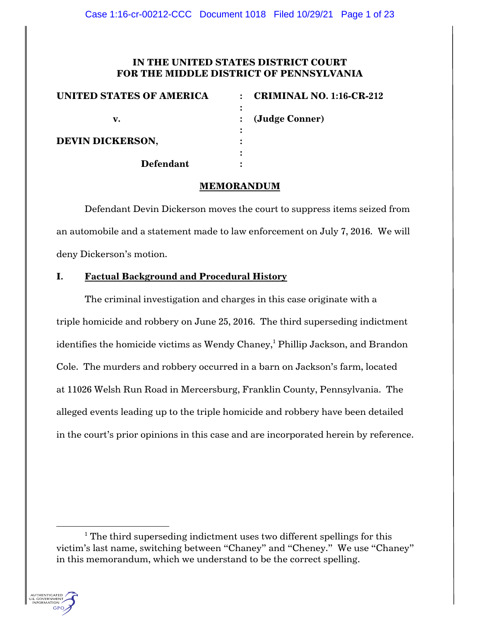# **IN THE UNITED STATES DISTRICT COURT FOR THE MIDDLE DISTRICT OF PENNSYLVANIA**

| <b>UNITED STATES OF AMERICA</b> | <b>CRIMINAL NO. 1:16-CR-212</b><br>$\bullet$ |
|---------------------------------|----------------------------------------------|
|                                 |                                              |
| v.                              | (Judge Conner)                               |
|                                 |                                              |
| <b>DEVIN DICKERSON,</b>         |                                              |
|                                 |                                              |
| <b>Defendant</b>                |                                              |

## **MEMORANDUM**

Defendant Devin Dickerson moves the court to suppress items seized from an automobile and a statement made to law enforcement on July 7, 2016. We will deny Dickerson's motion.

# **I. Factual Background and Procedural History**

The criminal investigation and charges in this case originate with a triple homicide and robbery on June 25, 2016. The third superseding indictment identifies the homicide victims as Wendy Chaney,<sup>1</sup> Phillip Jackson, and Brandon Cole. The murders and robbery occurred in a barn on Jackson's farm, located at 11026 Welsh Run Road in Mercersburg, Franklin County, Pennsylvania. The alleged events leading up to the triple homicide and robbery have been detailed in the court's prior opinions in this case and are incorporated herein by reference.

 $1$ <sup>1</sup> The third superseding indictment uses two different spellings for this victim's last name, switching between "Chaney" and "Cheney." We use "Chaney" in this memorandum, which we understand to be the correct spelling.

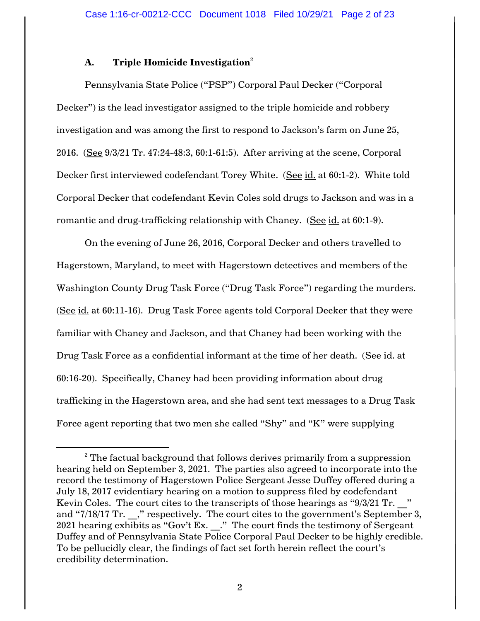# **A. Triple Homicide Investigation**<sup>2</sup>

Pennsylvania State Police ("PSP") Corporal Paul Decker ("Corporal Decker") is the lead investigator assigned to the triple homicide and robbery investigation and was among the first to respond to Jackson's farm on June 25, 2016. (See 9/3/21 Tr. 47:24-48:3, 60:1-61:5). After arriving at the scene, Corporal Decker first interviewed codefendant Torey White. (See id. at 60:1-2). White told Corporal Decker that codefendant Kevin Coles sold drugs to Jackson and was in a romantic and drug-trafficking relationship with Chaney. (See id. at 60:1-9).

On the evening of June 26, 2016, Corporal Decker and others travelled to Hagerstown, Maryland, to meet with Hagerstown detectives and members of the Washington County Drug Task Force ("Drug Task Force") regarding the murders. (See id. at 60:11-16). Drug Task Force agents told Corporal Decker that they were familiar with Chaney and Jackson, and that Chaney had been working with the Drug Task Force as a confidential informant at the time of her death. (See id. at 60:16-20). Specifically, Chaney had been providing information about drug trafficking in the Hagerstown area, and she had sent text messages to a Drug Task Force agent reporting that two men she called "Shy" and "K" were supplying

 $2$ <sup>2</sup> The factual background that follows derives primarily from a suppression hearing held on September 3, 2021. The parties also agreed to incorporate into the record the testimony of Hagerstown Police Sergeant Jesse Duffey offered during a July 18, 2017 evidentiary hearing on a motion to suppress filed by codefendant Kevin Coles. The court cites to the transcripts of those hearings as "9/3/21 Tr. " and "7/18/17 Tr. ," respectively. The court cites to the government's September 3, 2021 hearing exhibits as "Gov't Ex. \_\_." The court finds the testimony of Sergeant Duffey and of Pennsylvania State Police Corporal Paul Decker to be highly credible. To be pellucidly clear, the findings of fact set forth herein reflect the court's credibility determination.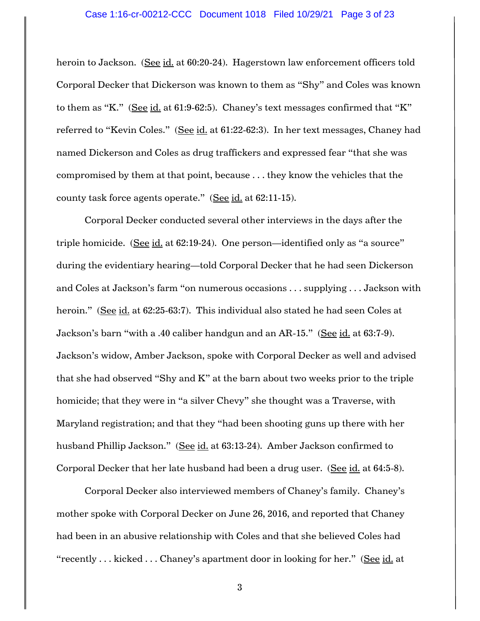heroin to Jackson. (See id. at 60:20-24). Hagerstown law enforcement officers told Corporal Decker that Dickerson was known to them as "Shy" and Coles was known to them as "K." (See id. at 61:9-62:5). Chaney's text messages confirmed that "K" referred to "Kevin Coles." (See id. at 61:22-62:3). In her text messages, Chaney had named Dickerson and Coles as drug traffickers and expressed fear "that she was compromised by them at that point, because . . . they know the vehicles that the county task force agents operate." (See id. at 62:11-15).

Corporal Decker conducted several other interviews in the days after the triple homicide. (See id. at 62:19-24). One person—identified only as "a source" during the evidentiary hearing—told Corporal Decker that he had seen Dickerson and Coles at Jackson's farm "on numerous occasions . . . supplying . . . Jackson with heroin." (See id. at 62:25-63:7). This individual also stated he had seen Coles at Jackson's barn "with a .40 caliber handgun and an AR-15." (See id. at 63:7-9). Jackson's widow, Amber Jackson, spoke with Corporal Decker as well and advised that she had observed "Shy and K" at the barn about two weeks prior to the triple homicide; that they were in "a silver Chevy" she thought was a Traverse, with Maryland registration; and that they "had been shooting guns up there with her husband Phillip Jackson." (See id. at 63:13-24). Amber Jackson confirmed to Corporal Decker that her late husband had been a drug user. (See id. at 64:5-8).

Corporal Decker also interviewed members of Chaney's family. Chaney's mother spoke with Corporal Decker on June 26, 2016, and reported that Chaney had been in an abusive relationship with Coles and that she believed Coles had "recently . . . kicked . . . Chaney's apartment door in looking for her." (See id. at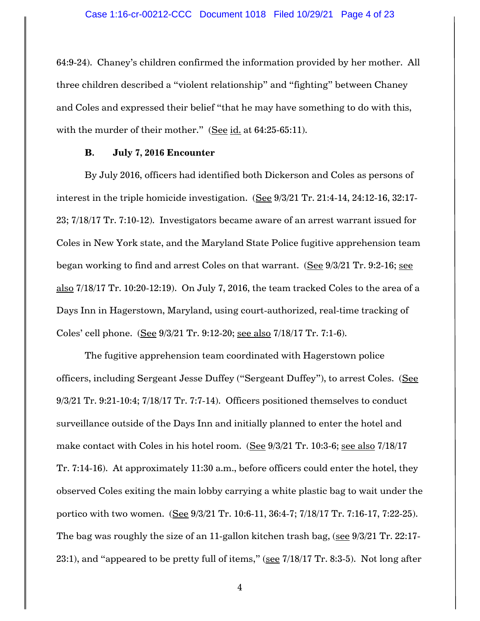64:9-24). Chaney's children confirmed the information provided by her mother. All three children described a "violent relationship" and "fighting" between Chaney and Coles and expressed their belief "that he may have something to do with this, with the murder of their mother." (See id. at 64:25-65:11).

## **B. July 7, 2016 Encounter**

By July 2016, officers had identified both Dickerson and Coles as persons of interest in the triple homicide investigation. (See 9/3/21 Tr. 21:4-14, 24:12-16, 32:17-23; 7/18/17 Tr. 7:10-12). Investigators became aware of an arrest warrant issued for Coles in New York state, and the Maryland State Police fugitive apprehension team began working to find and arrest Coles on that warrant. (See 9/3/21 Tr. 9:2-16; see also 7/18/17 Tr. 10:20-12:19). On July 7, 2016, the team tracked Coles to the area of a Days Inn in Hagerstown, Maryland, using court-authorized, real-time tracking of Coles' cell phone. (See 9/3/21 Tr. 9:12-20; see also 7/18/17 Tr. 7:1-6).

The fugitive apprehension team coordinated with Hagerstown police officers, including Sergeant Jesse Duffey ("Sergeant Duffey"), to arrest Coles. (See 9/3/21 Tr. 9:21-10:4; 7/18/17 Tr. 7:7-14). Officers positioned themselves to conduct surveillance outside of the Days Inn and initially planned to enter the hotel and make contact with Coles in his hotel room. (See 9/3/21 Tr. 10:3-6; see also 7/18/17 Tr. 7:14-16). At approximately 11:30 a.m., before officers could enter the hotel, they observed Coles exiting the main lobby carrying a white plastic bag to wait under the portico with two women. (See 9/3/21 Tr. 10:6-11, 36:4-7; 7/18/17 Tr. 7:16-17, 7:22-25). The bag was roughly the size of an 11-gallon kitchen trash bag, (see 9/3/21 Tr. 22:17- 23:1), and "appeared to be pretty full of items," (see 7/18/17 Tr. 8:3-5). Not long after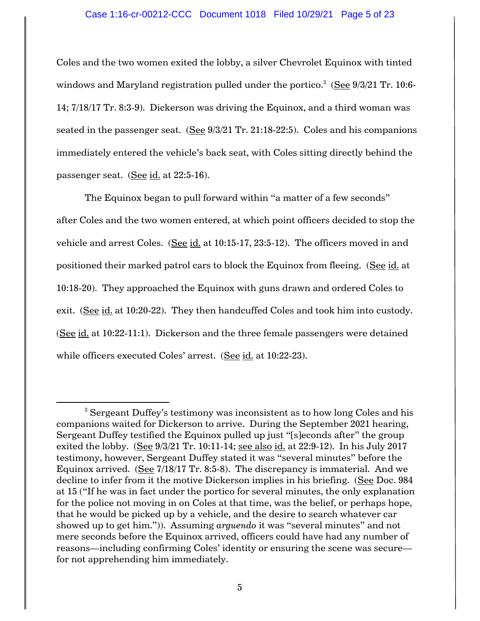### Case 1:16-cr-00212-CCC Document 1018 Filed 10/29/21 Page 5 of 23

Coles and the two women exited the lobby, a silver Chevrolet Equinox with tinted windows and Maryland registration pulled under the portico. $^3\,$  (See 9/3/21 Tr. 10:6-14; 7/18/17 Tr. 8:3-9). Dickerson was driving the Equinox, and a third woman was seated in the passenger seat. (See 9/3/21 Tr. 21:18-22:5). Coles and his companions immediately entered the vehicle's back seat, with Coles sitting directly behind the passenger seat. (See id. at 22:5-16).

The Equinox began to pull forward within "a matter of a few seconds" after Coles and the two women entered, at which point officers decided to stop the vehicle and arrest Coles. (See id. at 10:15-17, 23:5-12). The officers moved in and positioned their marked patrol cars to block the Equinox from fleeing. (See id. at 10:18-20). They approached the Equinox with guns drawn and ordered Coles to exit. (See id. at 10:20-22). They then handcuffed Coles and took him into custody. (See id. at 10:22-11:1). Dickerson and the three female passengers were detained while officers executed Coles' arrest. (See id. at 10:22-23).

<sup>&</sup>lt;sup>3</sup> Sergeant Duffey's testimony was inconsistent as to how long Coles and his companions waited for Dickerson to arrive. During the September 2021 hearing, Sergeant Duffey testified the Equinox pulled up just "[s]econds after" the group exited the lobby. (See 9/3/21 Tr. 10:11-14; see also id. at 22:9-12). In his July 2017 testimony, however, Sergeant Duffey stated it was "several minutes" before the Equinox arrived. (See 7/18/17 Tr. 8:5-8). The discrepancy is immaterial. And we decline to infer from it the motive Dickerson implies in his briefing. (See Doc. 984 at 15 ("If he was in fact under the portico for several minutes, the only explanation for the police not moving in on Coles at that time, was the belief, or perhaps hope, that he would be picked up by a vehicle, and the desire to search whatever car showed up to get him.")). Assuming *arguendo* it was "several minutes" and not mere seconds before the Equinox arrived, officers could have had any number of reasons—including confirming Coles' identity or ensuring the scene was secure for not apprehending him immediately.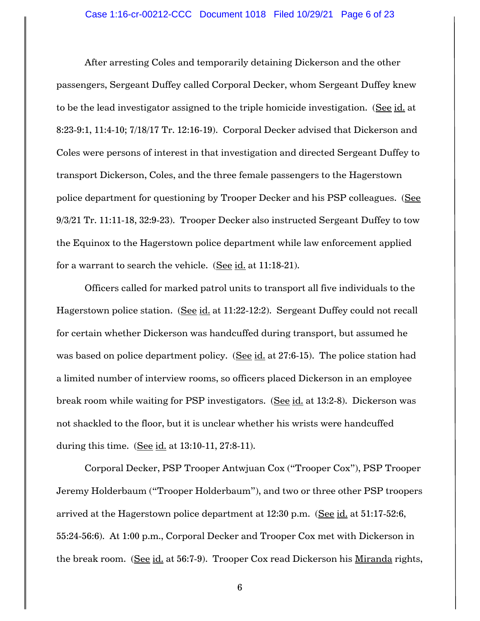After arresting Coles and temporarily detaining Dickerson and the other passengers, Sergeant Duffey called Corporal Decker, whom Sergeant Duffey knew to be the lead investigator assigned to the triple homicide investigation. (See id. at 8:23-9:1, 11:4-10; 7/18/17 Tr. 12:16-19). Corporal Decker advised that Dickerson and Coles were persons of interest in that investigation and directed Sergeant Duffey to transport Dickerson, Coles, and the three female passengers to the Hagerstown police department for questioning by Trooper Decker and his PSP colleagues. (See 9/3/21 Tr. 11:11-18, 32:9-23). Trooper Decker also instructed Sergeant Duffey to tow the Equinox to the Hagerstown police department while law enforcement applied for a warrant to search the vehicle. (See id. at 11:18-21).

Officers called for marked patrol units to transport all five individuals to the Hagerstown police station. (See id. at 11:22-12:2). Sergeant Duffey could not recall for certain whether Dickerson was handcuffed during transport, but assumed he was based on police department policy. (See id. at 27:6-15). The police station had a limited number of interview rooms, so officers placed Dickerson in an employee break room while waiting for PSP investigators. (See id. at 13:2-8). Dickerson was not shackled to the floor, but it is unclear whether his wrists were handcuffed during this time. (See id. at 13:10-11, 27:8-11).

Corporal Decker, PSP Trooper Antwjuan Cox ("Trooper Cox"), PSP Trooper Jeremy Holderbaum ("Trooper Holderbaum"), and two or three other PSP troopers arrived at the Hagerstown police department at 12:30 p.m. (See id. at 51:17-52:6, 55:24-56:6). At 1:00 p.m., Corporal Decker and Trooper Cox met with Dickerson in the break room. (See id. at 56:7-9). Trooper Cox read Dickerson his Miranda rights,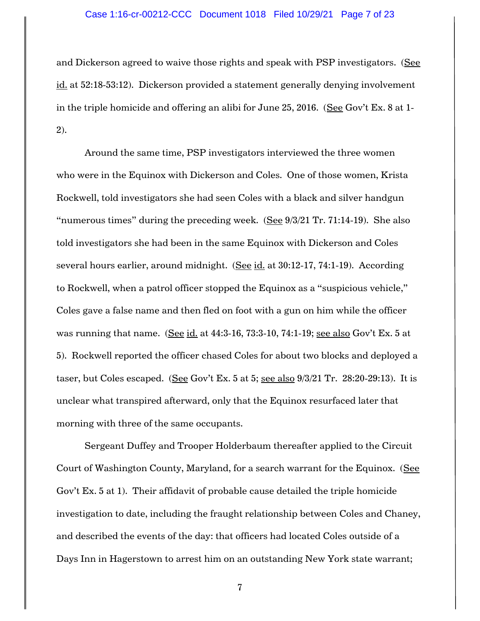### Case 1:16-cr-00212-CCC Document 1018 Filed 10/29/21 Page 7 of 23

and Dickerson agreed to waive those rights and speak with PSP investigators. (See id. at 52:18-53:12). Dickerson provided a statement generally denying involvement in the triple homicide and offering an alibi for June 25, 2016. (See Gov't Ex. 8 at 1-2).

Around the same time, PSP investigators interviewed the three women who were in the Equinox with Dickerson and Coles. One of those women, Krista Rockwell, told investigators she had seen Coles with a black and silver handgun "numerous times" during the preceding week. (See  $9/3/21$  Tr. 71:14-19). She also told investigators she had been in the same Equinox with Dickerson and Coles several hours earlier, around midnight. (See id. at 30:12-17, 74:1-19). According to Rockwell, when a patrol officer stopped the Equinox as a "suspicious vehicle," Coles gave a false name and then fled on foot with a gun on him while the officer was running that name. (See id. at 44:3-16, 73:3-10, 74:1-19; see also Gov't Ex. 5 at 5). Rockwell reported the officer chased Coles for about two blocks and deployed a taser, but Coles escaped. (See Gov't Ex. 5 at 5; see also  $9/3/21$  Tr. 28:20-29:13). It is unclear what transpired afterward, only that the Equinox resurfaced later that morning with three of the same occupants.

Sergeant Duffey and Trooper Holderbaum thereafter applied to the Circuit Court of Washington County, Maryland, for a search warrant for the Equinox. (See Gov't Ex. 5 at 1). Their affidavit of probable cause detailed the triple homicide investigation to date, including the fraught relationship between Coles and Chaney, and described the events of the day: that officers had located Coles outside of a Days Inn in Hagerstown to arrest him on an outstanding New York state warrant;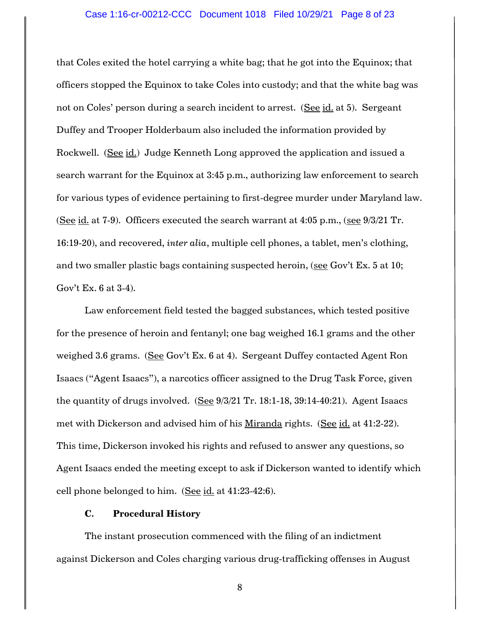#### Case 1:16-cr-00212-CCC Document 1018 Filed 10/29/21 Page 8 of 23

that Coles exited the hotel carrying a white bag; that he got into the Equinox; that officers stopped the Equinox to take Coles into custody; and that the white bag was not on Coles' person during a search incident to arrest. (See id. at 5). Sergeant Duffey and Trooper Holderbaum also included the information provided by Rockwell. (See id.) Judge Kenneth Long approved the application and issued a search warrant for the Equinox at 3:45 p.m., authorizing law enforcement to search for various types of evidence pertaining to first-degree murder under Maryland law. (See id. at 7-9). Officers executed the search warrant at 4:05 p.m., (see 9/3/21 Tr. 16:19-20), and recovered, *inter alia*, multiple cell phones, a tablet, men's clothing, and two smaller plastic bags containing suspected heroin, (see Gov't Ex. 5 at 10; Gov't Ex. 6 at 3-4).

Law enforcement field tested the bagged substances, which tested positive for the presence of heroin and fentanyl; one bag weighed 16.1 grams and the other weighed 3.6 grams. (See Gov't Ex. 6 at 4). Sergeant Duffey contacted Agent Ron Isaacs ("Agent Isaacs"), a narcotics officer assigned to the Drug Task Force, given the quantity of drugs involved.  $(See 9/3/21$  Tr. 18:1-18, 39:14-40:21). Agent Isaacs met with Dickerson and advised him of his Miranda rights. (See id. at 41:2-22). This time, Dickerson invoked his rights and refused to answer any questions, so Agent Isaacs ended the meeting except to ask if Dickerson wanted to identify which cell phone belonged to him. (See id. at 41:23-42:6).

## **C. Procedural History**

The instant prosecution commenced with the filing of an indictment against Dickerson and Coles charging various drug-trafficking offenses in August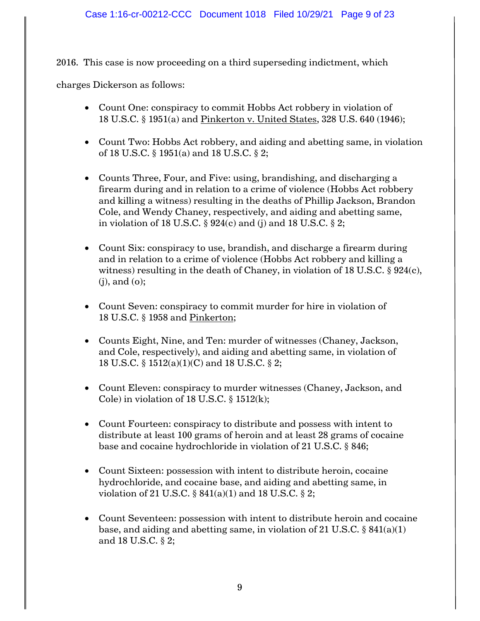2016. This case is now proceeding on a third superseding indictment, which

charges Dickerson as follows:

- Count One: conspiracy to commit Hobbs Act robbery in violation of 18 U.S.C. § 1951(a) and Pinkerton v. United States, 328 U.S. 640 (1946);
- Count Two: Hobbs Act robbery, and aiding and abetting same, in violation of 18 U.S.C. § 1951(a) and 18 U.S.C. § 2;
- Counts Three, Four, and Five: using, brandishing, and discharging a firearm during and in relation to a crime of violence (Hobbs Act robbery and killing a witness) resulting in the deaths of Phillip Jackson, Brandon Cole, and Wendy Chaney, respectively, and aiding and abetting same, in violation of 18 U.S.C.  $\S$  924(c) and (j) and 18 U.S.C.  $\S$  2;
- Count Six: conspiracy to use, brandish, and discharge a firearm during and in relation to a crime of violence (Hobbs Act robbery and killing a witness) resulting in the death of Chaney, in violation of 18 U.S.C.  $\S$  924(c), (j), and (o);
- Count Seven: conspiracy to commit murder for hire in violation of 18 U.S.C. § 1958 and Pinkerton;
- Counts Eight, Nine, and Ten: murder of witnesses (Chaney, Jackson, and Cole, respectively), and aiding and abetting same, in violation of 18 U.S.C. § 1512(a)(1)(C) and 18 U.S.C. § 2;
- Count Eleven: conspiracy to murder witnesses (Chaney, Jackson, and Cole) in violation of 18 U.S.C.  $\S$  1512(k);
- Count Fourteen: conspiracy to distribute and possess with intent to distribute at least 100 grams of heroin and at least 28 grams of cocaine base and cocaine hydrochloride in violation of 21 U.S.C. § 846;
- Count Sixteen: possession with intent to distribute heroin, cocaine hydrochloride, and cocaine base, and aiding and abetting same, in violation of 21 U.S.C.  $\S 841(a)(1)$  and 18 U.S.C.  $\S 2$ ;
- Count Seventeen: possession with intent to distribute heroin and cocaine base, and aiding and abetting same, in violation of 21 U.S.C.  $\S 841(a)(1)$ and 18 U.S.C. § 2;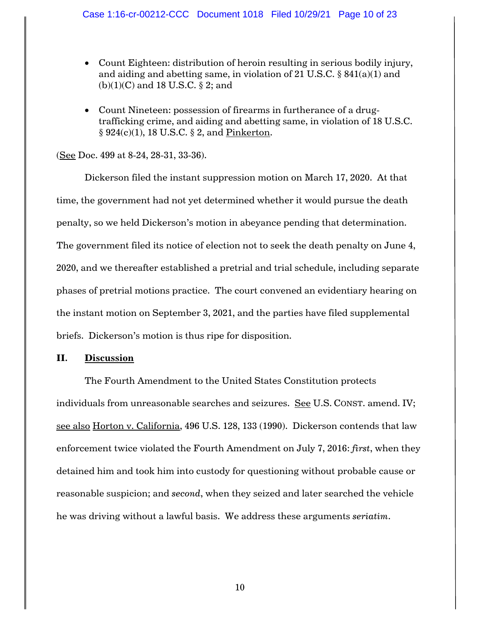### Case 1:16-cr-00212-CCC Document 1018 Filed 10/29/21 Page 10 of 23

- Count Eighteen: distribution of heroin resulting in serious bodily injury, and aiding and abetting same, in violation of 21 U.S.C. § 841(a)(1) and  $(b)(1)(C)$  and 18 U.S.C. § 2; and
- Count Nineteen: possession of firearms in furtherance of a drugtrafficking crime, and aiding and abetting same, in violation of 18 U.S.C. § 924(c)(1), 18 U.S.C. § 2, and Pinkerton.

(See Doc. 499 at 8-24, 28-31, 33-36).

Dickerson filed the instant suppression motion on March 17, 2020. At that time, the government had not yet determined whether it would pursue the death penalty, so we held Dickerson's motion in abeyance pending that determination. The government filed its notice of election not to seek the death penalty on June 4, 2020, and we thereafter established a pretrial and trial schedule, including separate phases of pretrial motions practice. The court convened an evidentiary hearing on the instant motion on September 3, 2021, and the parties have filed supplemental briefs. Dickerson's motion is thus ripe for disposition.

## **II. Discussion**

The Fourth Amendment to the United States Constitution protects individuals from unreasonable searches and seizures. See U.S. CONST. amend. IV; see also Horton v. California, 496 U.S. 128, 133 (1990). Dickerson contends that law enforcement twice violated the Fourth Amendment on July 7, 2016: *first*, when they detained him and took him into custody for questioning without probable cause or reasonable suspicion; and *second*, when they seized and later searched the vehicle he was driving without a lawful basis. We address these arguments *seriatim*.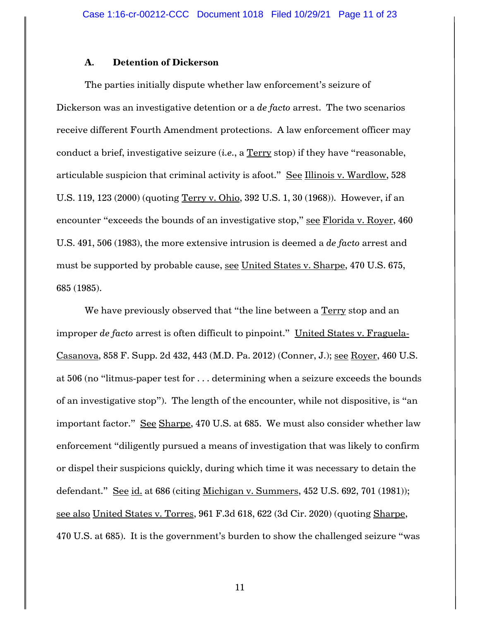## **A. Detention of Dickerson**

The parties initially dispute whether law enforcement's seizure of Dickerson was an investigative detention or a *de facto* arrest. The two scenarios receive different Fourth Amendment protections. A law enforcement officer may conduct a brief, investigative seizure (*i.e.*, a Terry stop) if they have "reasonable, articulable suspicion that criminal activity is afoot." See Illinois v. Wardlow, 528 U.S. 119, 123 (2000) (quoting Terry v. Ohio, 392 U.S. 1, 30 (1968)). However, if an encounter "exceeds the bounds of an investigative stop," see Florida v. Royer, 460 U.S. 491, 506 (1983), the more extensive intrusion is deemed a *de facto* arrest and must be supported by probable cause, see United States v. Sharpe, 470 U.S. 675, 685 (1985).

We have previously observed that "the line between a Terry stop and an improper *de facto* arrest is often difficult to pinpoint." United States v. Fraguela-Casanova, 858 F. Supp. 2d 432, 443 (M.D. Pa. 2012) (Conner, J.); see Royer, 460 U.S. at 506 (no "litmus-paper test for . . . determining when a seizure exceeds the bounds of an investigative stop"). The length of the encounter, while not dispositive, is "an important factor." See Sharpe, 470 U.S. at 685. We must also consider whether law enforcement "diligently pursued a means of investigation that was likely to confirm or dispel their suspicions quickly, during which time it was necessary to detain the defendant." See id. at 686 (citing Michigan v. Summers, 452 U.S. 692, 701 (1981)); see also United States v. Torres, 961 F.3d 618, 622 (3d Cir. 2020) (quoting Sharpe, 470 U.S. at 685). It is the government's burden to show the challenged seizure "was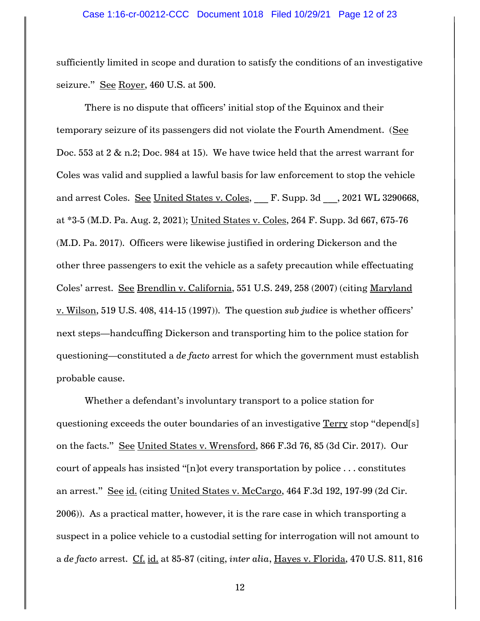#### Case 1:16-cr-00212-CCC Document 1018 Filed 10/29/21 Page 12 of 23

sufficiently limited in scope and duration to satisfy the conditions of an investigative seizure." See Royer, 460 U.S. at 500.

There is no dispute that officers' initial stop of the Equinox and their temporary seizure of its passengers did not violate the Fourth Amendment. (See Doc. 553 at 2 & n.2; Doc. 984 at 15). We have twice held that the arrest warrant for Coles was valid and supplied a lawful basis for law enforcement to stop the vehicle and arrest Coles. See United States v. Coles, F. Supp. 3d , 2021 WL 3290668, at \*3-5 (M.D. Pa. Aug. 2, 2021); United States v. Coles, 264 F. Supp. 3d 667, 675-76 (M.D. Pa. 2017). Officers were likewise justified in ordering Dickerson and the other three passengers to exit the vehicle as a safety precaution while effectuating Coles' arrest. See Brendlin v. California, 551 U.S. 249, 258 (2007) (citing Maryland v. Wilson, 519 U.S. 408, 414-15 (1997)). The question *sub judice* is whether officers' next steps—handcuffing Dickerson and transporting him to the police station for questioning—constituted a *de facto* arrest for which the government must establish probable cause.

Whether a defendant's involuntary transport to a police station for questioning exceeds the outer boundaries of an investigative Terry stop "depend[s] on the facts." See United States v. Wrensford, 866 F.3d 76, 85 (3d Cir. 2017). Our court of appeals has insisted "[n]ot every transportation by police . . . constitutes an arrest." See id. (citing United States v. McCargo, 464 F.3d 192, 197-99 (2d Cir. 2006)). As a practical matter, however, it is the rare case in which transporting a suspect in a police vehicle to a custodial setting for interrogation will not amount to a *de facto* arrest. Cf. id. at 85-87 (citing, *inter alia*, Hayes v. Florida, 470 U.S. 811, 816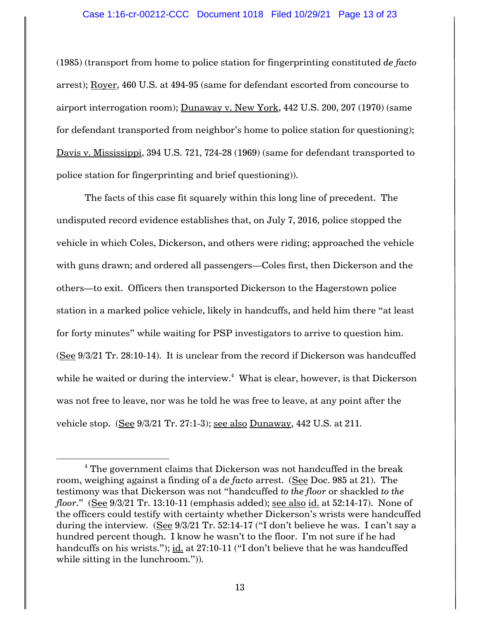### Case 1:16-cr-00212-CCC Document 1018 Filed 10/29/21 Page 13 of 23

(1985) (transport from home to police station for fingerprinting constituted *de facto*  arrest); Royer, 460 U.S. at 494-95 (same for defendant escorted from concourse to airport interrogation room); Dunaway v. New York, 442 U.S. 200, 207 (1970) (same for defendant transported from neighbor's home to police station for questioning); Davis v. Mississippi, 394 U.S. 721, 724-28 (1969) (same for defendant transported to police station for fingerprinting and brief questioning)).

The facts of this case fit squarely within this long line of precedent. The undisputed record evidence establishes that, on July 7, 2016, police stopped the vehicle in which Coles, Dickerson, and others were riding; approached the vehicle with guns drawn; and ordered all passengers—Coles first, then Dickerson and the others—to exit. Officers then transported Dickerson to the Hagerstown police station in a marked police vehicle, likely in handcuffs, and held him there "at least for forty minutes" while waiting for PSP investigators to arrive to question him. (See 9/3/21 Tr. 28:10-14). It is unclear from the record if Dickerson was handcuffed while he waited or during the interview. $^4\,$  What is clear, however, is that Dickerson was not free to leave, nor was he told he was free to leave, at any point after the vehicle stop. (See 9/3/21 Tr. 27:1-3); see also Dunaway, 442 U.S. at 211.

 $4$  The government claims that Dickerson was not handcuffed in the break room, weighing against a finding of a *de facto* arrest. (See Doc. 985 at 21). The testimony was that Dickerson was not "handcuffed *to the floor* or shackled *to the floor*." (See 9/3/21 Tr. 13:10-11 (emphasis added); see also id. at 52:14-17). None of the officers could testify with certainty whether Dickerson's wrists were handcuffed during the interview. (See 9/3/21 Tr. 52:14-17 ("I don't believe he was. I can't say a hundred percent though. I know he wasn't to the floor. I'm not sure if he had handcuffs on his wrists."); id. at 27:10-11 ("I don't believe that he was handcuffed while sitting in the lunchroom.")).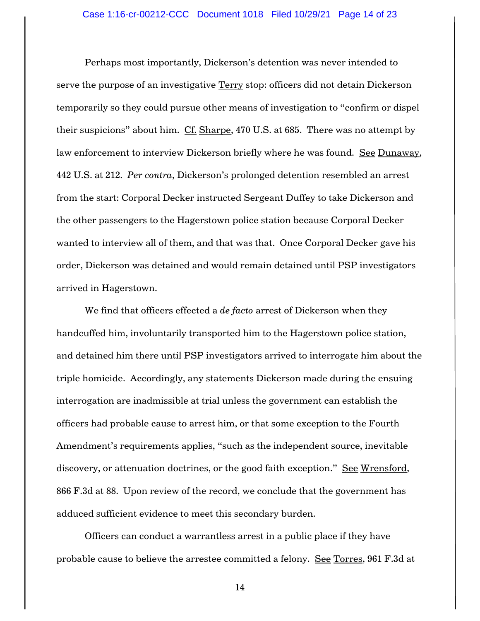Perhaps most importantly, Dickerson's detention was never intended to serve the purpose of an investigative Terry stop: officers did not detain Dickerson temporarily so they could pursue other means of investigation to "confirm or dispel their suspicions" about him. Cf. Sharpe, 470 U.S. at 685. There was no attempt by law enforcement to interview Dickerson briefly where he was found. See Dunaway, 442 U.S. at 212. *Per contra*, Dickerson's prolonged detention resembled an arrest from the start: Corporal Decker instructed Sergeant Duffey to take Dickerson and the other passengers to the Hagerstown police station because Corporal Decker wanted to interview all of them, and that was that. Once Corporal Decker gave his order, Dickerson was detained and would remain detained until PSP investigators arrived in Hagerstown.

We find that officers effected a *de facto* arrest of Dickerson when they handcuffed him, involuntarily transported him to the Hagerstown police station, and detained him there until PSP investigators arrived to interrogate him about the triple homicide. Accordingly, any statements Dickerson made during the ensuing interrogation are inadmissible at trial unless the government can establish the officers had probable cause to arrest him, or that some exception to the Fourth Amendment's requirements applies, "such as the independent source, inevitable discovery, or attenuation doctrines, or the good faith exception." See Wrensford, 866 F.3d at 88. Upon review of the record, we conclude that the government has adduced sufficient evidence to meet this secondary burden.

Officers can conduct a warrantless arrest in a public place if they have probable cause to believe the arrestee committed a felony. See Torres, 961 F.3d at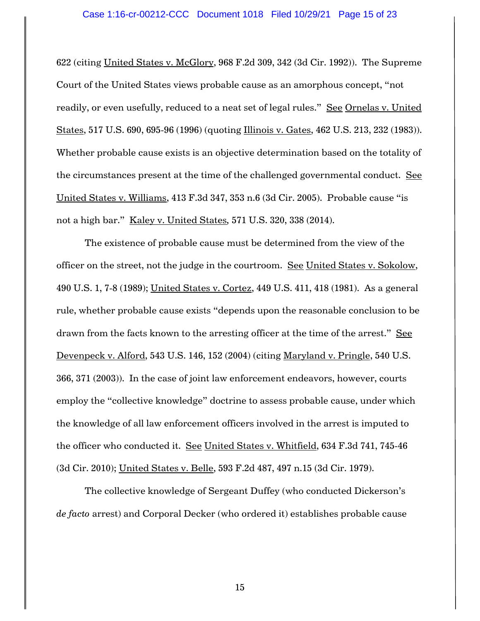## Case 1:16-cr-00212-CCC Document 1018 Filed 10/29/21 Page 15 of 23

622 (citing United States v. McGlory, 968 F.2d 309, 342 (3d Cir. 1992)). The Supreme Court of the United States views probable cause as an amorphous concept, "not readily, or even usefully, reduced to a neat set of legal rules." See Ornelas v. United States, 517 U.S. 690, 695-96 (1996) (quoting Illinois v. Gates, 462 U.S. 213, 232 (1983)). Whether probable cause exists is an objective determination based on the totality of the circumstances present at the time of the challenged governmental conduct. See United States v. Williams, 413 F.3d 347, 353 n.6 (3d Cir. 2005). Probable cause "is not a high bar." Kaley v. United States*,* 571 U.S. 320, 338 (2014).

The existence of probable cause must be determined from the view of the officer on the street, not the judge in the courtroom. See United States v. Sokolow, 490 U.S. 1, 7-8 (1989); United States v. Cortez, 449 U.S. 411, 418 (1981). As a general rule, whether probable cause exists "depends upon the reasonable conclusion to be drawn from the facts known to the arresting officer at the time of the arrest." See Devenpeck v. Alford, 543 U.S. 146, 152 (2004) (citing Maryland v. Pringle, 540 U.S. 366, 371 (2003)). In the case of joint law enforcement endeavors, however, courts employ the "collective knowledge" doctrine to assess probable cause, under which the knowledge of all law enforcement officers involved in the arrest is imputed to the officer who conducted it. See United States v. Whitfield, 634 F.3d 741, 745-46 (3d Cir. 2010); United States v. Belle, 593 F.2d 487, 497 n.15 (3d Cir. 1979).

The collective knowledge of Sergeant Duffey (who conducted Dickerson's *de facto* arrest) and Corporal Decker (who ordered it) establishes probable cause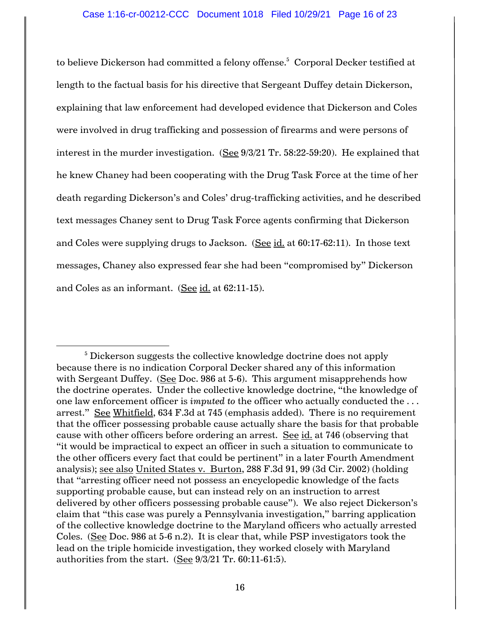to believe Dickerson had committed a felony offense. 5 Corporal Decker testified at length to the factual basis for his directive that Sergeant Duffey detain Dickerson, explaining that law enforcement had developed evidence that Dickerson and Coles were involved in drug trafficking and possession of firearms and were persons of interest in the murder investigation. (See 9/3/21 Tr. 58:22-59:20). He explained that he knew Chaney had been cooperating with the Drug Task Force at the time of her death regarding Dickerson's and Coles' drug-trafficking activities, and he described text messages Chaney sent to Drug Task Force agents confirming that Dickerson and Coles were supplying drugs to Jackson. (See id. at 60:17-62:11). In those text messages, Chaney also expressed fear she had been "compromised by" Dickerson and Coles as an informant. (See  $id.$  at 62:11-15).

<sup>&</sup>lt;sup>5</sup> Dickerson suggests the collective knowledge doctrine does not apply because there is no indication Corporal Decker shared any of this information with Sergeant Duffey. (See Doc. 986 at 5-6). This argument misapprehends how the doctrine operates. Under the collective knowledge doctrine, "the knowledge of one law enforcement officer is *imputed to* the officer who actually conducted the . . . arrest." See Whitfield, 634 F.3d at 745 (emphasis added). There is no requirement that the officer possessing probable cause actually share the basis for that probable cause with other officers before ordering an arrest. See id. at 746 (observing that "it would be impractical to expect an officer in such a situation to communicate to the other officers every fact that could be pertinent" in a later Fourth Amendment analysis); see also United States v. Burton, 288 F.3d 91, 99 (3d Cir. 2002) (holding that "arresting officer need not possess an encyclopedic knowledge of the facts supporting probable cause, but can instead rely on an instruction to arrest delivered by other officers possessing probable cause"). We also reject Dickerson's claim that "this case was purely a Pennsylvania investigation," barring application of the collective knowledge doctrine to the Maryland officers who actually arrested Coles. (See Doc. 986 at 5-6 n.2). It is clear that, while PSP investigators took the lead on the triple homicide investigation, they worked closely with Maryland authorities from the start. (See 9/3/21 Tr. 60:11-61:5).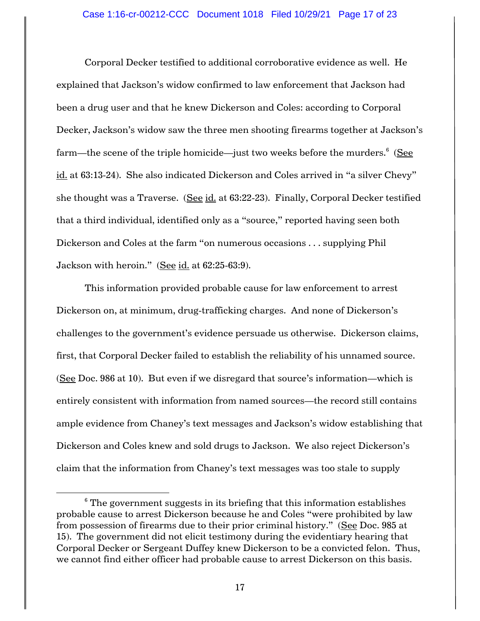Corporal Decker testified to additional corroborative evidence as well. He explained that Jackson's widow confirmed to law enforcement that Jackson had been a drug user and that he knew Dickerson and Coles: according to Corporal Decker, Jackson's widow saw the three men shooting firearms together at Jackson's farm—the scene of the triple homicide—just two weeks before the murders.<sup>6</sup> (<u>See</u> id. at 63:13-24). She also indicated Dickerson and Coles arrived in "a silver Chevy" she thought was a Traverse. (See id. at 63:22-23). Finally, Corporal Decker testified that a third individual, identified only as a "source," reported having seen both Dickerson and Coles at the farm "on numerous occasions . . . supplying Phil Jackson with heroin." (See id. at  $62:25-63:9$ ).

This information provided probable cause for law enforcement to arrest Dickerson on, at minimum, drug-trafficking charges. And none of Dickerson's challenges to the government's evidence persuade us otherwise. Dickerson claims, first, that Corporal Decker failed to establish the reliability of his unnamed source. (See Doc. 986 at 10). But even if we disregard that source's information—which is entirely consistent with information from named sources—the record still contains ample evidence from Chaney's text messages and Jackson's widow establishing that Dickerson and Coles knew and sold drugs to Jackson. We also reject Dickerson's claim that the information from Chaney's text messages was too stale to supply

 $6$  The government suggests in its briefing that this information establishes probable cause to arrest Dickerson because he and Coles "were prohibited by law from possession of firearms due to their prior criminal history." (See Doc. 985 at 15). The government did not elicit testimony during the evidentiary hearing that Corporal Decker or Sergeant Duffey knew Dickerson to be a convicted felon. Thus, we cannot find either officer had probable cause to arrest Dickerson on this basis.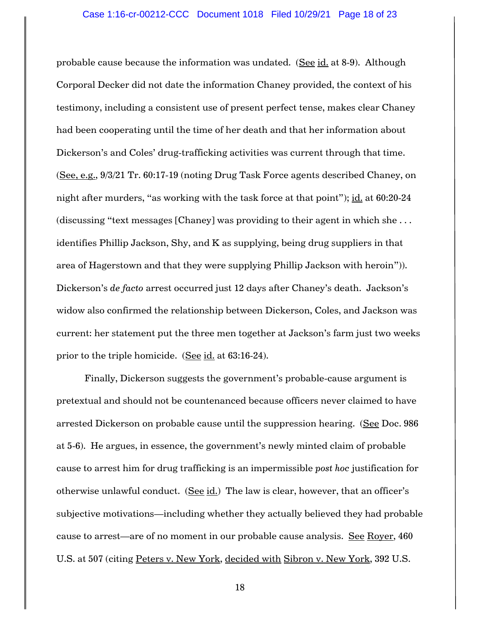probable cause because the information was undated. (See id. at 8-9). Although Corporal Decker did not date the information Chaney provided, the context of his testimony, including a consistent use of present perfect tense, makes clear Chaney had been cooperating until the time of her death and that her information about Dickerson's and Coles' drug-trafficking activities was current through that time. (See, e.g., 9/3/21 Tr. 60:17-19 (noting Drug Task Force agents described Chaney, on night after murders, "as working with the task force at that point"); id. at 60:20-24 (discussing "text messages [Chaney] was providing to their agent in which she . . . identifies Phillip Jackson, Shy, and K as supplying, being drug suppliers in that area of Hagerstown and that they were supplying Phillip Jackson with heroin")). Dickerson's *de facto* arrest occurred just 12 days after Chaney's death. Jackson's widow also confirmed the relationship between Dickerson, Coles, and Jackson was current: her statement put the three men together at Jackson's farm just two weeks prior to the triple homicide. (See id. at 63:16-24).

Finally, Dickerson suggests the government's probable-cause argument is pretextual and should not be countenanced because officers never claimed to have arrested Dickerson on probable cause until the suppression hearing. (See Doc. 986 at 5-6). He argues, in essence, the government's newly minted claim of probable cause to arrest him for drug trafficking is an impermissible *post hoc* justification for otherwise unlawful conduct.  $(See id.)$  The law is clear, however, that an officer's subjective motivations—including whether they actually believed they had probable cause to arrest—are of no moment in our probable cause analysis. See Royer, 460 U.S. at 507 (citing Peters v. New York, decided with Sibron v. New York, 392 U.S.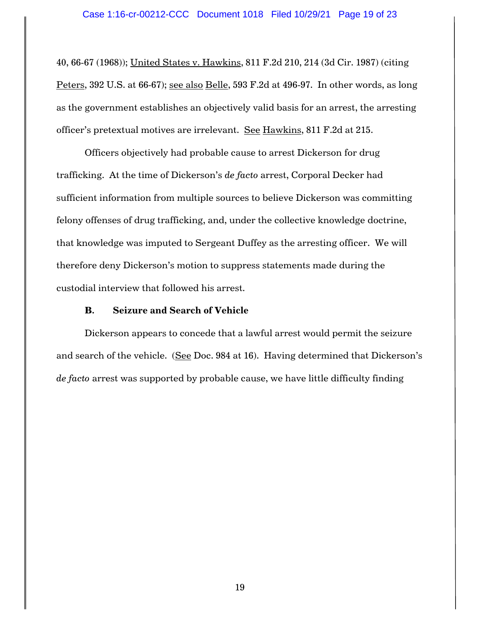40, 66-67 (1968)); United States v. Hawkins, 811 F.2d 210, 214 (3d Cir. 1987) (citing Peters, 392 U.S. at 66-67); see also Belle, 593 F.2d at 496-97. In other words, as long as the government establishes an objectively valid basis for an arrest, the arresting officer's pretextual motives are irrelevant. See Hawkins, 811 F.2d at 215.

Officers objectively had probable cause to arrest Dickerson for drug trafficking. At the time of Dickerson's *de facto* arrest, Corporal Decker had sufficient information from multiple sources to believe Dickerson was committing felony offenses of drug trafficking, and, under the collective knowledge doctrine, that knowledge was imputed to Sergeant Duffey as the arresting officer. We will therefore deny Dickerson's motion to suppress statements made during the custodial interview that followed his arrest.

## **B. Seizure and Search of Vehicle**

Dickerson appears to concede that a lawful arrest would permit the seizure and search of the vehicle. (See Doc. 984 at 16). Having determined that Dickerson's *de facto* arrest was supported by probable cause, we have little difficulty finding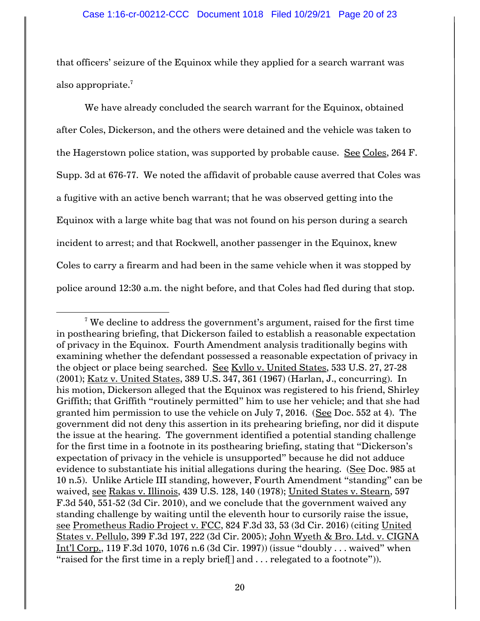that officers' seizure of the Equinox while they applied for a search warrant was also appropriate.<sup>7</sup>

We have already concluded the search warrant for the Equinox, obtained after Coles, Dickerson, and the others were detained and the vehicle was taken to the Hagerstown police station, was supported by probable cause. See Coles, 264 F. Supp. 3d at 676-77. We noted the affidavit of probable cause averred that Coles was a fugitive with an active bench warrant; that he was observed getting into the Equinox with a large white bag that was not found on his person during a search incident to arrest; and that Rockwell, another passenger in the Equinox, knew Coles to carry a firearm and had been in the same vehicle when it was stopped by police around 12:30 a.m. the night before, and that Coles had fled during that stop.

 $7$  We decline to address the government's argument, raised for the first time in posthearing briefing, that Dickerson failed to establish a reasonable expectation of privacy in the Equinox. Fourth Amendment analysis traditionally begins with examining whether the defendant possessed a reasonable expectation of privacy in the object or place being searched. See Kyllo v. United States, 533 U.S. 27, 27-28 (2001); Katz v. United States, 389 U.S. 347, 361 (1967) (Harlan, J., concurring). In his motion, Dickerson alleged that the Equinox was registered to his friend, Shirley Griffith; that Griffith "routinely permitted" him to use her vehicle; and that she had granted him permission to use the vehicle on July 7, 2016. (See Doc. 552 at 4). The government did not deny this assertion in its prehearing briefing, nor did it dispute the issue at the hearing. The government identified a potential standing challenge for the first time in a footnote in its posthearing briefing, stating that "Dickerson's expectation of privacy in the vehicle is unsupported" because he did not adduce evidence to substantiate his initial allegations during the hearing. (See Doc. 985 at 10 n.5). Unlike Article III standing, however, Fourth Amendment "standing" can be waived, see Rakas v. Illinois, 439 U.S. 128, 140 (1978); United States v. Stearn, 597 F.3d 540, 551-52 (3d Cir. 2010), and we conclude that the government waived any standing challenge by waiting until the eleventh hour to cursorily raise the issue, see Prometheus Radio Project v. FCC, 824 F.3d 33, 53 (3d Cir. 2016) (citing United States v. Pellulo, 399 F.3d 197, 222 (3d Cir. 2005); John Wyeth & Bro. Ltd. v. CIGNA Int'l Corp., 119 F.3d 1070, 1076 n.6 (3d Cir. 1997)) (issue "doubly . . . waived" when "raised for the first time in a reply brief  $\lceil$  and  $\ldots$  relegated to a footnote").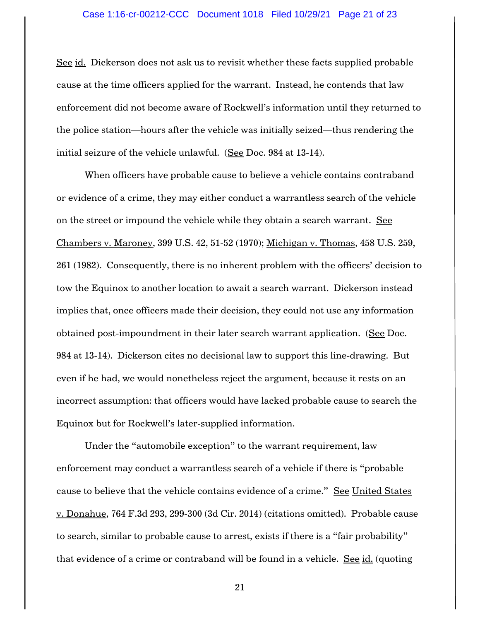#### Case 1:16-cr-00212-CCC Document 1018 Filed 10/29/21 Page 21 of 23

See id. Dickerson does not ask us to revisit whether these facts supplied probable cause at the time officers applied for the warrant. Instead, he contends that law enforcement did not become aware of Rockwell's information until they returned to the police station—hours after the vehicle was initially seized—thus rendering the initial seizure of the vehicle unlawful. (See Doc. 984 at 13-14).

When officers have probable cause to believe a vehicle contains contraband or evidence of a crime, they may either conduct a warrantless search of the vehicle on the street or impound the vehicle while they obtain a search warrant. See Chambers v. Maroney, 399 U.S. 42, 51-52 (1970); Michigan v. Thomas, 458 U.S. 259, 261 (1982). Consequently, there is no inherent problem with the officers' decision to tow the Equinox to another location to await a search warrant. Dickerson instead implies that, once officers made their decision, they could not use any information obtained post-impoundment in their later search warrant application. (See Doc. 984 at 13-14). Dickerson cites no decisional law to support this line-drawing. But even if he had, we would nonetheless reject the argument, because it rests on an incorrect assumption: that officers would have lacked probable cause to search the Equinox but for Rockwell's later-supplied information.

Under the "automobile exception" to the warrant requirement, law enforcement may conduct a warrantless search of a vehicle if there is "probable cause to believe that the vehicle contains evidence of a crime." See United States v. Donahue, 764 F.3d 293, 299-300 (3d Cir. 2014) (citations omitted). Probable cause to search, similar to probable cause to arrest, exists if there is a "fair probability" that evidence of a crime or contraband will be found in a vehicle. See id. (quoting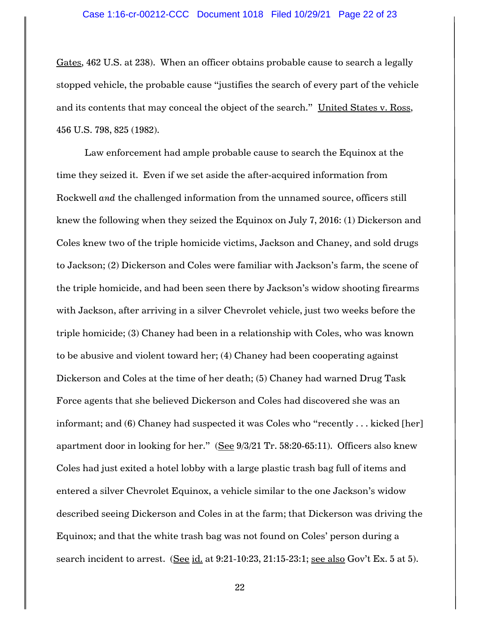Gates, 462 U.S. at 238). When an officer obtains probable cause to search a legally stopped vehicle, the probable cause "justifies the search of every part of the vehicle and its contents that may conceal the object of the search." United States v. Ross, 456 U.S. 798, 825 (1982).

Law enforcement had ample probable cause to search the Equinox at the time they seized it. Even if we set aside the after-acquired information from Rockwell *and* the challenged information from the unnamed source, officers still knew the following when they seized the Equinox on July 7, 2016: (1) Dickerson and Coles knew two of the triple homicide victims, Jackson and Chaney, and sold drugs to Jackson; (2) Dickerson and Coles were familiar with Jackson's farm, the scene of the triple homicide, and had been seen there by Jackson's widow shooting firearms with Jackson, after arriving in a silver Chevrolet vehicle, just two weeks before the triple homicide; (3) Chaney had been in a relationship with Coles, who was known to be abusive and violent toward her; (4) Chaney had been cooperating against Dickerson and Coles at the time of her death; (5) Chaney had warned Drug Task Force agents that she believed Dickerson and Coles had discovered she was an informant; and (6) Chaney had suspected it was Coles who "recently . . . kicked [her] apartment door in looking for her." (See 9/3/21 Tr. 58:20-65:11). Officers also knew Coles had just exited a hotel lobby with a large plastic trash bag full of items and entered a silver Chevrolet Equinox, a vehicle similar to the one Jackson's widow described seeing Dickerson and Coles in at the farm; that Dickerson was driving the Equinox; and that the white trash bag was not found on Coles' person during a search incident to arrest. (See id. at 9:21-10:23, 21:15-23:1; see also Gov't Ex. 5 at 5).